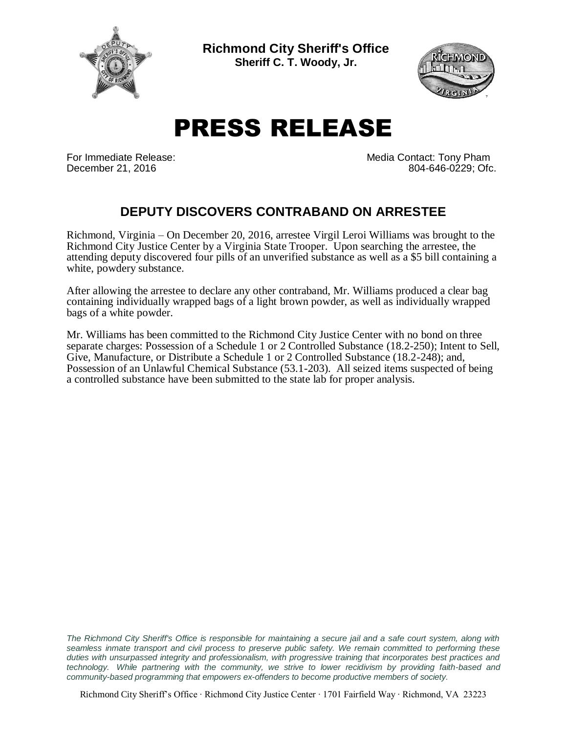

**Richmond City Sheriff's Office Sheriff C. T. Woody, Jr.**



## PRESS RELEASE

For Immediate Release: The Contact: Tony Pham December 21, 2016 804-646-0229; Ofc.

## **DEPUTY DISCOVERS CONTRABAND ON ARRESTEE**

Richmond, Virginia – On December 20, 2016, arrestee Virgil Leroi Williams was brought to the Richmond City Justice Center by a Virginia State Trooper. Upon searching the arrestee, the attending deputy discovered four pills of an unverified substance as well as a \$5 bill containing a white, powdery substance.

After allowing the arrestee to declare any other contraband, Mr. Williams produced a clear bag containing individually wrapped bags of a light brown powder, as well as individually wrapped bags of a white powder.

Mr. Williams has been committed to the Richmond City Justice Center with no bond on three separate charges: Possession of a Schedule 1 or 2 Controlled Substance (18.2-250); Intent to Sell, Give, Manufacture, or Distribute a Schedule 1 or 2 Controlled Substance (18.2-248); and, Possession of an Unlawful Chemical Substance (53.1-203). All seized items suspected of being a controlled substance have been submitted to the state lab for proper analysis.

The Richmond City Sheriff's Office is responsible for maintaining a secure jail and a safe court system, along with *seamless inmate transport and civil process to preserve public safety. We remain committed to performing these duties with unsurpassed integrity and professionalism, with progressive training that incorporates best practices and technology. While partnering with the community, we strive to lower recidivism by providing faith-based and community-based programming that empowers ex-offenders to become productive members of society.*